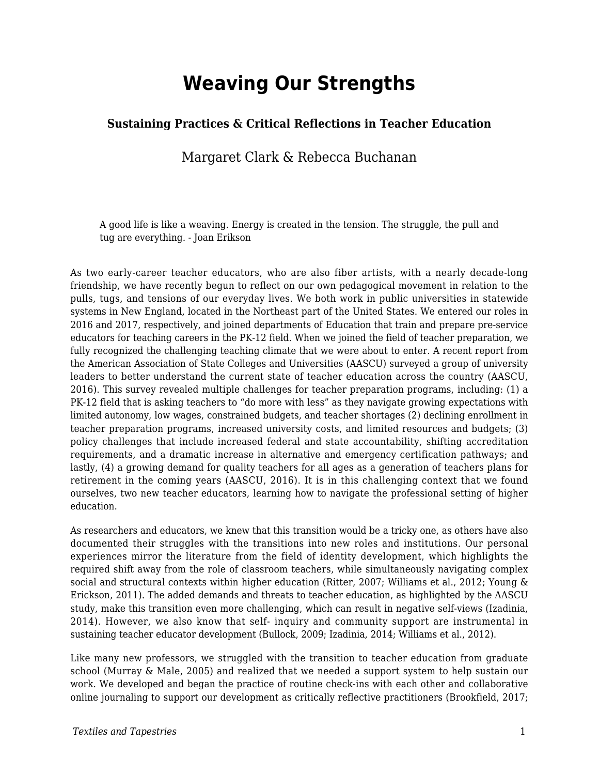# **Weaving Our Strengths**

### **Sustaining Practices & Critical Reflections in Teacher Education**

Margaret Clark & Rebecca Buchanan

A good life is like a weaving. Energy is created in the tension. The struggle, the pull and tug are everything. - Joan Erikson

As two early-career teacher educators, who are also fiber artists, with a nearly decade-long friendship, we have recently begun to reflect on our own pedagogical movement in relation to the pulls, tugs, and tensions of our everyday lives. We both work in public universities in statewide systems in New England, located in the Northeast part of the United States. We entered our roles in 2016 and 2017, respectively, and joined departments of Education that train and prepare pre-service educators for teaching careers in the PK-12 field. When we joined the field of teacher preparation, we fully recognized the challenging teaching climate that we were about to enter. A recent report from the American Association of State Colleges and Universities (AASCU) surveyed a group of university leaders to better understand the current state of teacher education across the country (AASCU, 2016). This survey revealed multiple challenges for teacher preparation programs, including: (1) a PK-12 field that is asking teachers to "do more with less" as they navigate growing expectations with limited autonomy, low wages, constrained budgets, and teacher shortages (2) declining enrollment in teacher preparation programs, increased university costs, and limited resources and budgets; (3) policy challenges that include increased federal and state accountability, shifting accreditation requirements, and a dramatic increase in alternative and emergency certification pathways; and lastly, (4) a growing demand for quality teachers for all ages as a generation of teachers plans for retirement in the coming years (AASCU, 2016). It is in this challenging context that we found ourselves, two new teacher educators, learning how to navigate the professional setting of higher education.

As researchers and educators, we knew that this transition would be a tricky one, as others have also documented their struggles with the transitions into new roles and institutions. Our personal experiences mirror the literature from the field of identity development, which highlights the required shift away from the role of classroom teachers, while simultaneously navigating complex social and structural contexts within higher education (Ritter, 2007; Williams et al., 2012; Young & Erickson, 2011). The added demands and threats to teacher education, as highlighted by the AASCU study, make this transition even more challenging, which can result in negative self-views (Izadinia, 2014). However, we also know that self- inquiry and community support are instrumental in sustaining teacher educator development (Bullock, 2009; Izadinia, 2014; Williams et al., 2012).

Like many new professors, we struggled with the transition to teacher education from graduate school (Murray & Male, 2005) and realized that we needed a support system to help sustain our work. We developed and began the practice of routine check-ins with each other and collaborative online journaling to support our development as critically reflective practitioners (Brookfield, 2017;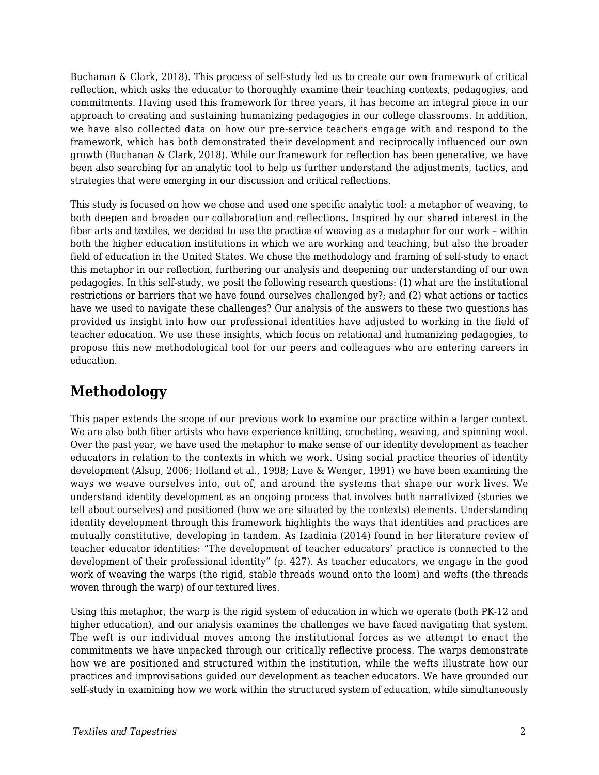Buchanan & Clark, 2018). This process of self-study led us to create our own framework of critical reflection, which asks the educator to thoroughly examine their teaching contexts, pedagogies, and commitments. Having used this framework for three years, it has become an integral piece in our approach to creating and sustaining humanizing pedagogies in our college classrooms. In addition, we have also collected data on how our pre-service teachers engage with and respond to the framework, which has both demonstrated their development and reciprocally influenced our own growth (Buchanan & Clark, 2018). While our framework for reflection has been generative, we have been also searching for an analytic tool to help us further understand the adjustments, tactics, and strategies that were emerging in our discussion and critical reflections.

This study is focused on how we chose and used one specific analytic tool: a metaphor of weaving, to both deepen and broaden our collaboration and reflections. Inspired by our shared interest in the fiber arts and textiles, we decided to use the practice of weaving as a metaphor for our work – within both the higher education institutions in which we are working and teaching, but also the broader field of education in the United States. We chose the methodology and framing of self-study to enact this metaphor in our reflection, furthering our analysis and deepening our understanding of our own pedagogies. In this self-study, we posit the following research questions: (1) what are the institutional restrictions or barriers that we have found ourselves challenged by?; and (2) what actions or tactics have we used to navigate these challenges? Our analysis of the answers to these two questions has provided us insight into how our professional identities have adjusted to working in the field of teacher education. We use these insights, which focus on relational and humanizing pedagogies, to propose this new methodological tool for our peers and colleagues who are entering careers in education.

# **Methodology**

This paper extends the scope of our previous work to examine our practice within a larger context. We are also both fiber artists who have experience knitting, crocheting, weaving, and spinning wool. Over the past year, we have used the metaphor to make sense of our identity development as teacher educators in relation to the contexts in which we work. Using social practice theories of identity development (Alsup, 2006; Holland et al., 1998; Lave & Wenger, 1991) we have been examining the ways we weave ourselves into, out of, and around the systems that shape our work lives. We understand identity development as an ongoing process that involves both narrativized (stories we tell about ourselves) and positioned (how we are situated by the contexts) elements. Understanding identity development through this framework highlights the ways that identities and practices are mutually constitutive, developing in tandem. As Izadinia (2014) found in her literature review of teacher educator identities: "The development of teacher educators' practice is connected to the development of their professional identity" (p. 427). As teacher educators, we engage in the good work of weaving the warps (the rigid, stable threads wound onto the loom) and wefts (the threads woven through the warp) of our textured lives.

Using this metaphor, the warp is the rigid system of education in which we operate (both PK-12 and higher education), and our analysis examines the challenges we have faced navigating that system. The weft is our individual moves among the institutional forces as we attempt to enact the commitments we have unpacked through our critically reflective process. The warps demonstrate how we are positioned and structured within the institution, while the wefts illustrate how our practices and improvisations guided our development as teacher educators. We have grounded our self-study in examining how we work within the structured system of education, while simultaneously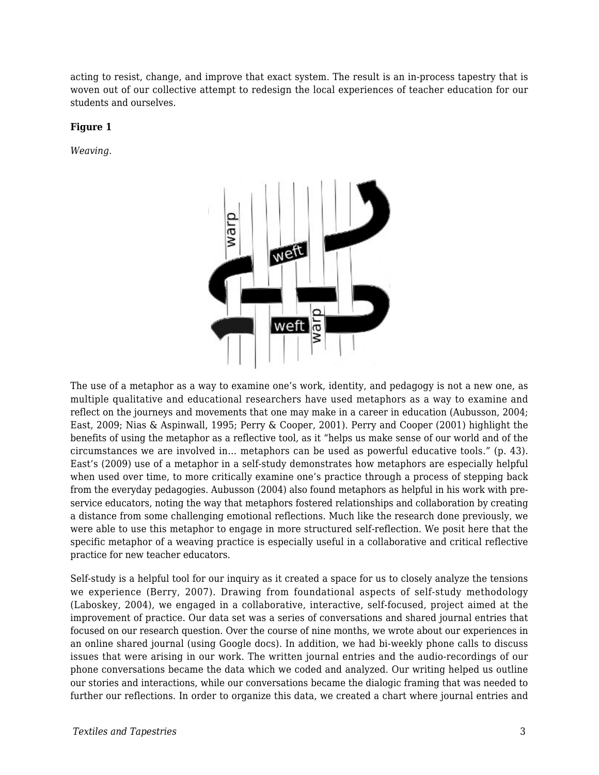acting to resist, change, and improve that exact system. The result is an in-process tapestry that is woven out of our collective attempt to redesign the local experiences of teacher education for our students and ourselves.

#### **Figure 1**

*Weaving.*



The use of a metaphor as a way to examine one's work, identity, and pedagogy is not a new one, as multiple qualitative and educational researchers have used metaphors as a way to examine and reflect on the journeys and movements that one may make in a career in education (Aubusson, 2004; East, 2009; Nias & Aspinwall, 1995; Perry & Cooper, 2001). Perry and Cooper (2001) highlight the benefits of using the metaphor as a reflective tool, as it "helps us make sense of our world and of the circumstances we are involved in... metaphors can be used as powerful educative tools." (p. 43). East's (2009) use of a metaphor in a self-study demonstrates how metaphors are especially helpful when used over time, to more critically examine one's practice through a process of stepping back from the everyday pedagogies. Aubusson (2004) also found metaphors as helpful in his work with preservice educators, noting the way that metaphors fostered relationships and collaboration by creating a distance from some challenging emotional reflections. Much like the research done previously, we were able to use this metaphor to engage in more structured self-reflection. We posit here that the specific metaphor of a weaving practice is especially useful in a collaborative and critical reflective practice for new teacher educators.

Self-study is a helpful tool for our inquiry as it created a space for us to closely analyze the tensions we experience (Berry, 2007). Drawing from foundational aspects of self-study methodology (Laboskey, 2004), we engaged in a collaborative, interactive, self-focused, project aimed at the improvement of practice. Our data set was a series of conversations and shared journal entries that focused on our research question. Over the course of nine months, we wrote about our experiences in an online shared journal (using Google docs). In addition, we had bi-weekly phone calls to discuss issues that were arising in our work. The written journal entries and the audio-recordings of our phone conversations became the data which we coded and analyzed. Our writing helped us outline our stories and interactions, while our conversations became the dialogic framing that was needed to further our reflections. In order to organize this data, we created a chart where journal entries and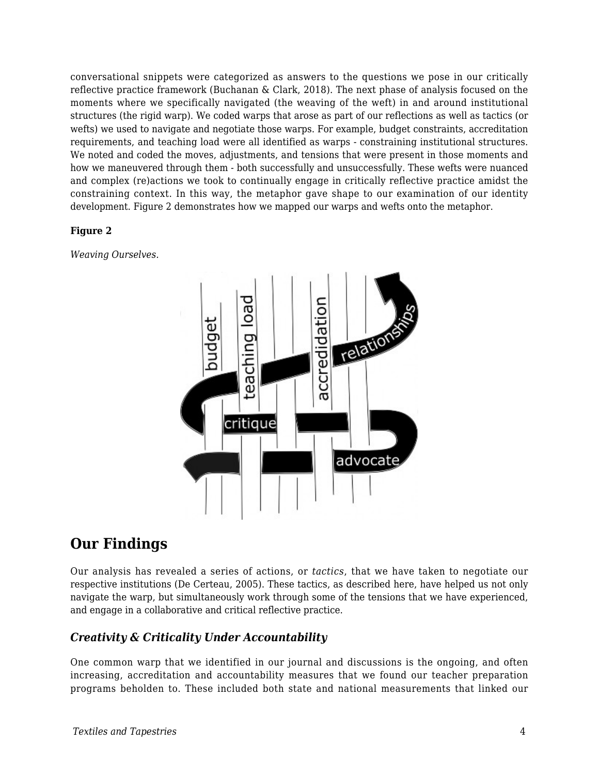conversational snippets were categorized as answers to the questions we pose in our critically reflective practice framework (Buchanan & Clark, 2018). The next phase of analysis focused on the moments where we specifically navigated (the weaving of the weft) in and around institutional structures (the rigid warp). We coded warps that arose as part of our reflections as well as tactics (or wefts) we used to navigate and negotiate those warps. For example, budget constraints, accreditation requirements, and teaching load were all identified as warps - constraining institutional structures. We noted and coded the moves, adjustments, and tensions that were present in those moments and how we maneuvered through them - both successfully and unsuccessfully. These wefts were nuanced and complex (re)actions we took to continually engage in critically reflective practice amidst the constraining context. In this way, the metaphor gave shape to our examination of our identity development. Figure 2 demonstrates how we mapped our warps and wefts onto the metaphor.

#### **Figure 2**

*Weaving Ourselves.*



### **Our Findings**

Our analysis has revealed a series of actions, or *tactics*, that we have taken to negotiate our respective institutions (De Certeau, 2005). These tactics, as described here, have helped us not only navigate the warp, but simultaneously work through some of the tensions that we have experienced, and engage in a collaborative and critical reflective practice.

### *Creativity & Criticality Under Accountability*

One common warp that we identified in our journal and discussions is the ongoing, and often increasing, accreditation and accountability measures that we found our teacher preparation programs beholden to. These included both state and national measurements that linked our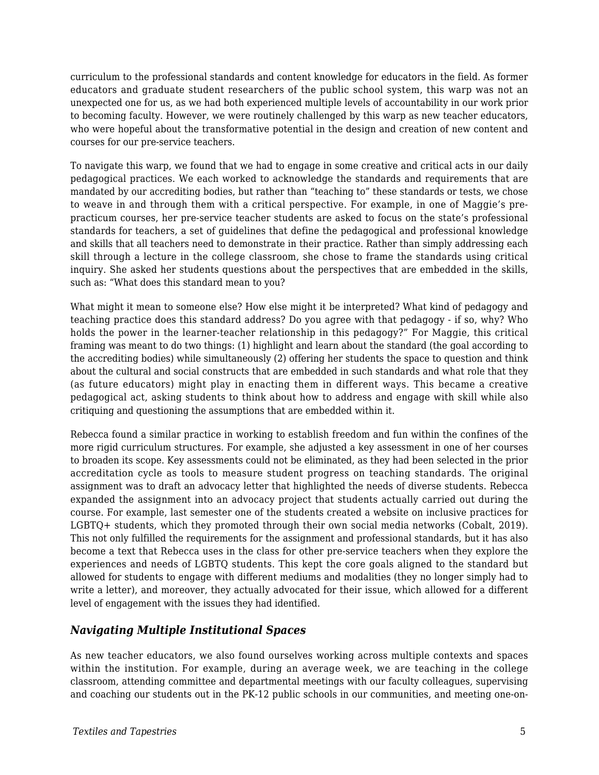curriculum to the professional standards and content knowledge for educators in the field. As former educators and graduate student researchers of the public school system, this warp was not an unexpected one for us, as we had both experienced multiple levels of accountability in our work prior to becoming faculty. However, we were routinely challenged by this warp as new teacher educators, who were hopeful about the transformative potential in the design and creation of new content and courses for our pre-service teachers.

To navigate this warp, we found that we had to engage in some creative and critical acts in our daily pedagogical practices. We each worked to acknowledge the standards and requirements that are mandated by our accrediting bodies, but rather than "teaching to" these standards or tests, we chose to weave in and through them with a critical perspective. For example, in one of Maggie's prepracticum courses, her pre-service teacher students are asked to focus on the state's professional standards for teachers, a set of guidelines that define the pedagogical and professional knowledge and skills that all teachers need to demonstrate in their practice. Rather than simply addressing each skill through a lecture in the college classroom, she chose to frame the standards using critical inquiry. She asked her students questions about the perspectives that are embedded in the skills, such as: "What does this standard mean to you?

What might it mean to someone else? How else might it be interpreted? What kind of pedagogy and teaching practice does this standard address? Do you agree with that pedagogy - if so, why? Who holds the power in the learner-teacher relationship in this pedagogy?" For Maggie, this critical framing was meant to do two things: (1) highlight and learn about the standard (the goal according to the accrediting bodies) while simultaneously (2) offering her students the space to question and think about the cultural and social constructs that are embedded in such standards and what role that they (as future educators) might play in enacting them in different ways. This became a creative pedagogical act, asking students to think about how to address and engage with skill while also critiquing and questioning the assumptions that are embedded within it.

Rebecca found a similar practice in working to establish freedom and fun within the confines of the more rigid curriculum structures. For example, she adjusted a key assessment in one of her courses to broaden its scope. Key assessments could not be eliminated, as they had been selected in the prior accreditation cycle as tools to measure student progress on teaching standards. The original assignment was to draft an advocacy letter that highlighted the needs of diverse students. Rebecca expanded the assignment into an advocacy project that students actually carried out during the course. For example, last semester one of the students created a website on inclusive practices for LGBTQ+ students, which they promoted through their own social media networks (Cobalt, 2019). This not only fulfilled the requirements for the assignment and professional standards, but it has also become a text that Rebecca uses in the class for other pre-service teachers when they explore the experiences and needs of LGBTQ students. This kept the core goals aligned to the standard but allowed for students to engage with different mediums and modalities (they no longer simply had to write a letter), and moreover, they actually advocated for their issue, which allowed for a different level of engagement with the issues they had identified.

### *Navigating Multiple Institutional Spaces*

As new teacher educators, we also found ourselves working across multiple contexts and spaces within the institution. For example, during an average week, we are teaching in the college classroom, attending committee and departmental meetings with our faculty colleagues, supervising and coaching our students out in the PK-12 public schools in our communities, and meeting one-on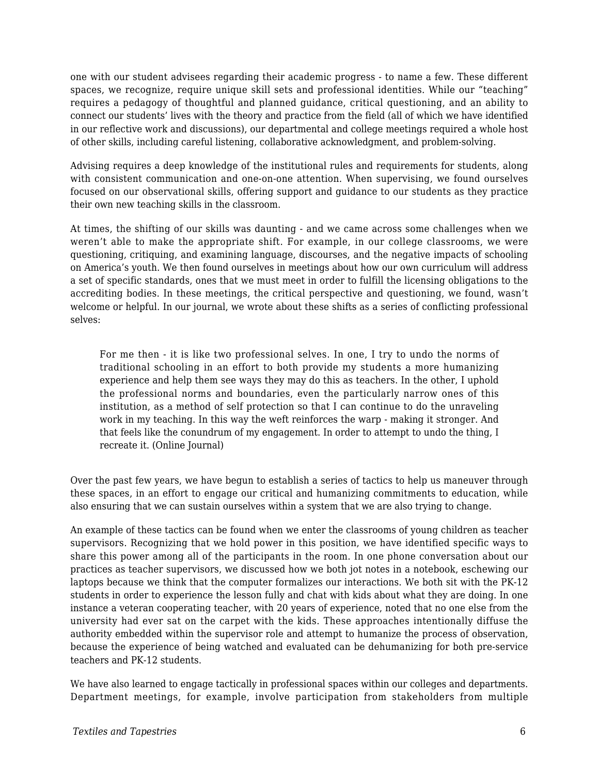one with our student advisees regarding their academic progress - to name a few. These different spaces, we recognize, require unique skill sets and professional identities. While our "teaching" requires a pedagogy of thoughtful and planned guidance, critical questioning, and an ability to connect our students' lives with the theory and practice from the field (all of which we have identified in our reflective work and discussions), our departmental and college meetings required a whole host of other skills, including careful listening, collaborative acknowledgment, and problem-solving.

Advising requires a deep knowledge of the institutional rules and requirements for students, along with consistent communication and one-on-one attention. When supervising, we found ourselves focused on our observational skills, offering support and guidance to our students as they practice their own new teaching skills in the classroom.

At times, the shifting of our skills was daunting - and we came across some challenges when we weren't able to make the appropriate shift. For example, in our college classrooms, we were questioning, critiquing, and examining language, discourses, and the negative impacts of schooling on America's youth. We then found ourselves in meetings about how our own curriculum will address a set of specific standards, ones that we must meet in order to fulfill the licensing obligations to the accrediting bodies. In these meetings, the critical perspective and questioning, we found, wasn't welcome or helpful. In our journal, we wrote about these shifts as a series of conflicting professional selves:

For me then - it is like two professional selves. In one, I try to undo the norms of traditional schooling in an effort to both provide my students a more humanizing experience and help them see ways they may do this as teachers. In the other, I uphold the professional norms and boundaries, even the particularly narrow ones of this institution, as a method of self protection so that I can continue to do the unraveling work in my teaching. In this way the weft reinforces the warp - making it stronger. And that feels like the conundrum of my engagement. In order to attempt to undo the thing, I recreate it. (Online Journal)

Over the past few years, we have begun to establish a series of tactics to help us maneuver through these spaces, in an effort to engage our critical and humanizing commitments to education, while also ensuring that we can sustain ourselves within a system that we are also trying to change.

An example of these tactics can be found when we enter the classrooms of young children as teacher supervisors. Recognizing that we hold power in this position, we have identified specific ways to share this power among all of the participants in the room. In one phone conversation about our practices as teacher supervisors, we discussed how we both jot notes in a notebook, eschewing our laptops because we think that the computer formalizes our interactions. We both sit with the PK-12 students in order to experience the lesson fully and chat with kids about what they are doing. In one instance a veteran cooperating teacher, with 20 years of experience, noted that no one else from the university had ever sat on the carpet with the kids. These approaches intentionally diffuse the authority embedded within the supervisor role and attempt to humanize the process of observation, because the experience of being watched and evaluated can be dehumanizing for both pre-service teachers and PK-12 students.

We have also learned to engage tactically in professional spaces within our colleges and departments. Department meetings, for example, involve participation from stakeholders from multiple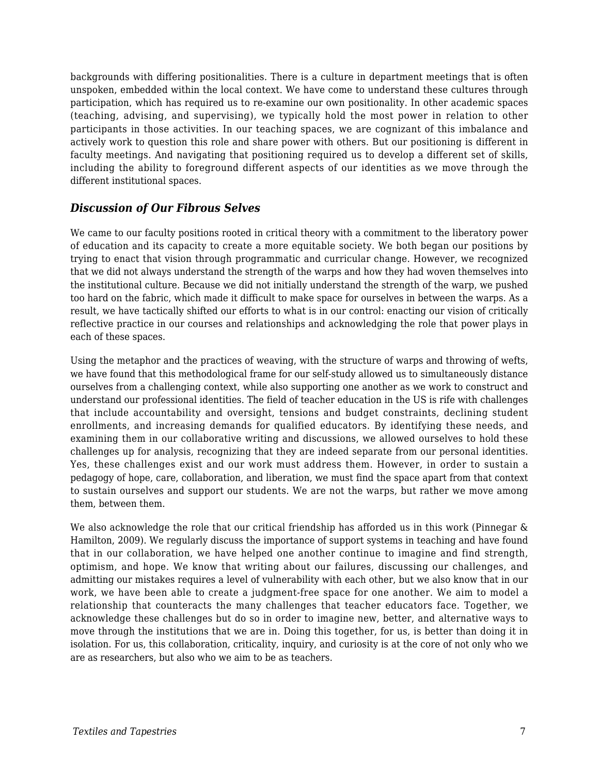backgrounds with differing positionalities. There is a culture in department meetings that is often unspoken, embedded within the local context. We have come to understand these cultures through participation, which has required us to re-examine our own positionality. In other academic spaces (teaching, advising, and supervising), we typically hold the most power in relation to other participants in those activities. In our teaching spaces, we are cognizant of this imbalance and actively work to question this role and share power with others. But our positioning is different in faculty meetings. And navigating that positioning required us to develop a different set of skills, including the ability to foreground different aspects of our identities as we move through the different institutional spaces.

#### *Discussion of Our Fibrous Selves*

We came to our faculty positions rooted in critical theory with a commitment to the liberatory power of education and its capacity to create a more equitable society. We both began our positions by trying to enact that vision through programmatic and curricular change. However, we recognized that we did not always understand the strength of the warps and how they had woven themselves into the institutional culture. Because we did not initially understand the strength of the warp, we pushed too hard on the fabric, which made it difficult to make space for ourselves in between the warps. As a result, we have tactically shifted our efforts to what is in our control: enacting our vision of critically reflective practice in our courses and relationships and acknowledging the role that power plays in each of these spaces.

Using the metaphor and the practices of weaving, with the structure of warps and throwing of wefts, we have found that this methodological frame for our self-study allowed us to simultaneously distance ourselves from a challenging context, while also supporting one another as we work to construct and understand our professional identities. The field of teacher education in the US is rife with challenges that include accountability and oversight, tensions and budget constraints, declining student enrollments, and increasing demands for qualified educators. By identifying these needs, and examining them in our collaborative writing and discussions, we allowed ourselves to hold these challenges up for analysis, recognizing that they are indeed separate from our personal identities. Yes, these challenges exist and our work must address them. However, in order to sustain a pedagogy of hope, care, collaboration, and liberation, we must find the space apart from that context to sustain ourselves and support our students. We are not the warps, but rather we move among them, between them.

We also acknowledge the role that our critical friendship has afforded us in this work (Pinnegar & Hamilton, 2009). We regularly discuss the importance of support systems in teaching and have found that in our collaboration, we have helped one another continue to imagine and find strength, optimism, and hope. We know that writing about our failures, discussing our challenges, and admitting our mistakes requires a level of vulnerability with each other, but we also know that in our work, we have been able to create a judgment-free space for one another. We aim to model a relationship that counteracts the many challenges that teacher educators face. Together, we acknowledge these challenges but do so in order to imagine new, better, and alternative ways to move through the institutions that we are in. Doing this together, for us, is better than doing it in isolation. For us, this collaboration, criticality, inquiry, and curiosity is at the core of not only who we are as researchers, but also who we aim to be as teachers.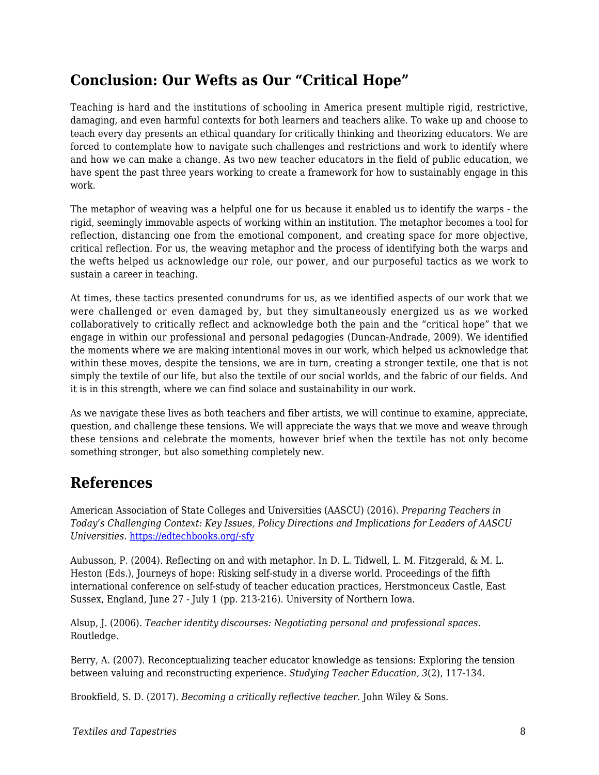## **Conclusion: Our Wefts as Our "Critical Hope"**

Teaching is hard and the institutions of schooling in America present multiple rigid, restrictive, damaging, and even harmful contexts for both learners and teachers alike. To wake up and choose to teach every day presents an ethical quandary for critically thinking and theorizing educators. We are forced to contemplate how to navigate such challenges and restrictions and work to identify where and how we can make a change. As two new teacher educators in the field of public education, we have spent the past three years working to create a framework for how to sustainably engage in this work.

The metaphor of weaving was a helpful one for us because it enabled us to identify the warps - the rigid, seemingly immovable aspects of working within an institution. The metaphor becomes a tool for reflection, distancing one from the emotional component, and creating space for more objective, critical reflection. For us, the weaving metaphor and the process of identifying both the warps and the wefts helped us acknowledge our role, our power, and our purposeful tactics as we work to sustain a career in teaching.

At times, these tactics presented conundrums for us, as we identified aspects of our work that we were challenged or even damaged by, but they simultaneously energized us as we worked collaboratively to critically reflect and acknowledge both the pain and the "critical hope" that we engage in within our professional and personal pedagogies (Duncan-Andrade, 2009). We identified the moments where we are making intentional moves in our work, which helped us acknowledge that within these moves, despite the tensions, we are in turn, creating a stronger textile, one that is not simply the textile of our life, but also the textile of our social worlds, and the fabric of our fields. And it is in this strength, where we can find solace and sustainability in our work.

As we navigate these lives as both teachers and fiber artists, we will continue to examine, appreciate, question, and challenge these tensions. We will appreciate the ways that we move and weave through these tensions and celebrate the moments, however brief when the textile has not only become something stronger, but also something completely new.

### **References**

American Association of State Colleges and Universities (AASCU) (2016). *Preparing Teachers in Today's Challenging Context: Key Issues, Policy Directions and Implications for Leaders of AASCU Universities.* [https://edtechbooks.org/-sfy](http://www.aascu.org/AcademicAffairs/TeacherEdReport.pdf)

Aubusson, P. (2004). Reflecting on and with metaphor. In D. L. Tidwell, L. M. Fitzgerald, & M. L. Heston (Eds.), Journeys of hope: Risking self-study in a diverse world. Proceedings of the fifth international conference on self-study of teacher education practices, Herstmonceux Castle, East Sussex, England, June 27 - July 1 (pp. 213-216). University of Northern Iowa.

Alsup, J. (2006). *Teacher identity discourses: Negotiating personal and professional spaces*. Routledge.

Berry, A. (2007). Reconceptualizing teacher educator knowledge as tensions: Exploring the tension between valuing and reconstructing experience. *Studying Teacher Education, 3*(2), 117-134.

Brookfield, S. D. (2017). *Becoming a critically reflective teacher*. John Wiley & Sons.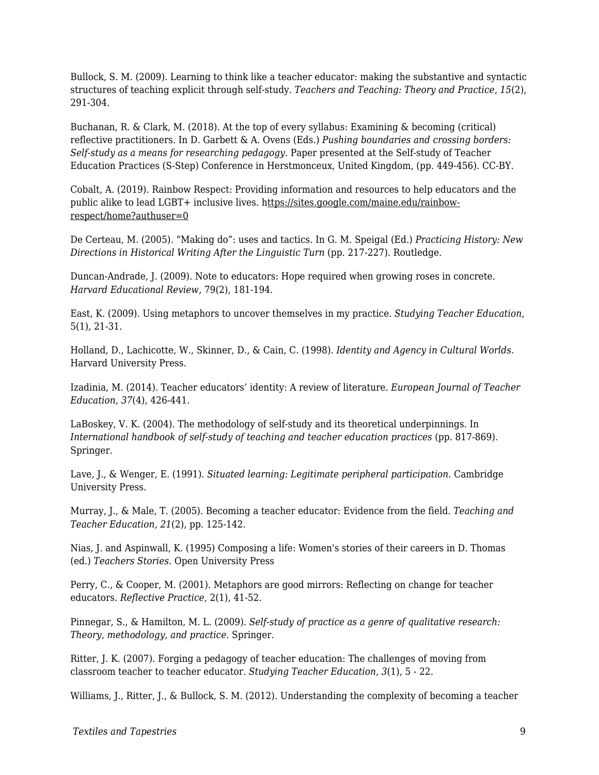Bullock, S. M. (2009). Learning to think like a teacher educator: making the substantive and syntactic structures of teaching explicit through self-study. *Teachers and Teaching: Theory and Practice*, *15*(2), 291-304.

Buchanan, R. & Clark, M. (2018). At the top of every syllabus: Examining & becoming (critical) reflective practitioners. In D. Garbett & A. Ovens (Eds.) *Pushing boundaries and crossing borders: Self-study as a means for researching pedagogy.* Paper presented at the Self-study of Teacher Education Practices (S-Step) Conference in Herstmonceux, United Kingdom, (pp. 449-456). CC-BY.

Cobalt, A. (2019). Rainbow Respect: Providing information and resources to help educators and the public alike to lead LGBT+ inclusive lives. https://sites.google.com/maine.edu/rainbowrespect/home?authuser=0

De Certeau, M. (2005). "Making do": uses and tactics. In G. M. Speigal (Ed.) *Practicing History: New Directions in Historical Writing After the Linguistic Turn (pp. 217-227). Routledge.* 

Duncan-Andrade, J. (2009). Note to educators: Hope required when growing roses in concrete. *Harvard Educational Review*, 79(2), 181-194.

East, K. (2009). Using metaphors to uncover themselves in my practice. *Studying Teacher Education*, 5(1), 21-31.

Holland, D., Lachicotte, W., Skinner, D., & Cain, C. (1998). *Identity and Agency in Cultural Worlds.* Harvard University Press.

Izadinia, M. (2014). Teacher educators' identity: A review of literature. *European Journal of Teacher Education*, *37*(4), 426-441.

LaBoskey, V. K. (2004). The methodology of self-study and its theoretical underpinnings. In *International handbook of self-study of teaching and teacher education practices* (pp. 817-869). Springer.

Lave, J., & Wenger, E. (1991). *Situated learning: Legitimate peripheral participation.* Cambridge University Press.

Murray, J., & Male, T. (2005). Becoming a teacher educator: Evidence from the field. *Teaching and Teacher Education, 21*(2), pp. 125-142.

Nias, J. and Aspinwall, K. (1995) Composing a life: Women's stories of their careers in D. Thomas (ed.) *Teachers Stories*. Open University Press

Perry, C., & Cooper, M. (2001). Metaphors are good mirrors: Reflecting on change for teacher educators. *Reflective Practice,* 2(1), 41-52.

Pinnegar, S., & Hamilton, M. L. (2009). *Self-study of practice as a genre of qualitative research: Theory, methodology, and practice*. Springer.

Ritter, J. K. (2007). Forging a pedagogy of teacher education: The challenges of moving from classroom teacher to teacher educator. *Studying Teacher Education, 3*(1), 5 - 22.

Williams, J., Ritter, J., & Bullock, S. M. (2012). Understanding the complexity of becoming a teacher